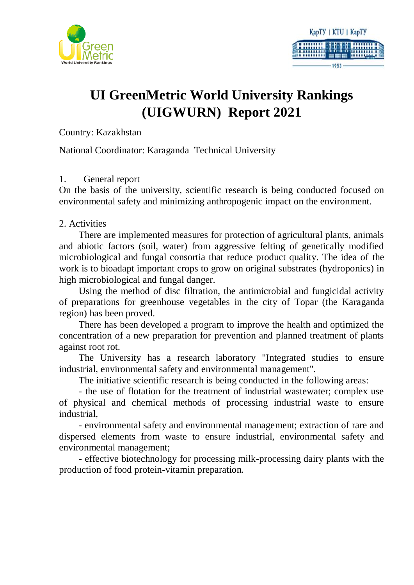



## **UI GreenMetric World University Rankings (UIGWURN) Report 2021**

Country: Kazakhstan

National Coordinator: Karaganda Technical University

#### 1. General report

On the basis of the university, scientific research is being conducted focused on environmental safety and minimizing anthropogenic impact on the environment.

2. Activities

There are implemented measures for protection of agricultural plants, animals and abiotic factors (soil, water) from aggressive felting of genetically modified microbiological and fungal consortia that reduce product quality. The idea of the work is to bioadapt important crops to grow on original substrates (hydroponics) in high microbiological and fungal danger.

Using the method of disc filtration, the antimicrobial and fungicidal activity of preparations for greenhouse vegetables in the city of Topar (the Karaganda region) has been proved.

There has been developed a program to improve the health and optimized the concentration of a new preparation for prevention and planned treatment of plants against root rot.

The University has a research laboratory "Integrated studies to ensure industrial, environmental safety and environmental management".

The initiative scientific research is being conducted in the following areas:

- the use of flotation for the treatment of industrial wastewater; complex use of physical and chemical methods of processing industrial waste to ensure industrial,

- environmental safety and environmental management; extraction of rare and dispersed elements from waste to ensure industrial, environmental safety and environmental management;

- effective biotechnology for processing milk-processing dairy plants with the production of food protein-vitamin preparation.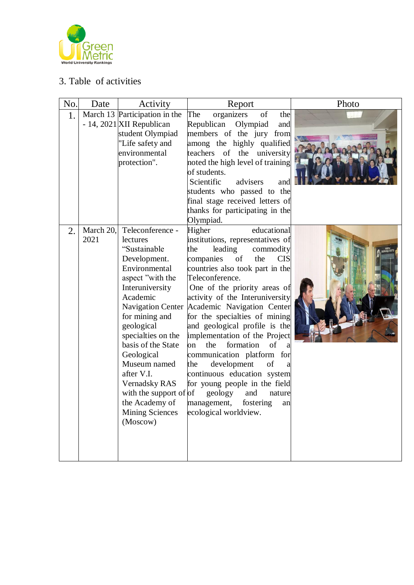

### 3. Table of activities

| No. | Date              | Activity                                                                                                                                                                                                                                                                                                                                                                                       | Report                                                                                                                                                                                                                                                                                                                                                                                                                                                                                                                                                                                                                                                | Photo |
|-----|-------------------|------------------------------------------------------------------------------------------------------------------------------------------------------------------------------------------------------------------------------------------------------------------------------------------------------------------------------------------------------------------------------------------------|-------------------------------------------------------------------------------------------------------------------------------------------------------------------------------------------------------------------------------------------------------------------------------------------------------------------------------------------------------------------------------------------------------------------------------------------------------------------------------------------------------------------------------------------------------------------------------------------------------------------------------------------------------|-------|
| 1.  |                   | March 13 Participation in the<br>- 14, 2021 XII Republican<br>student Olympiad<br>"Life safety and<br>environmental<br>protection".                                                                                                                                                                                                                                                            | The<br>organizers<br>of<br>the<br>Republican<br>Olympiad<br>and<br>members of the jury from<br>among the highly qualified<br>teachers of the<br>university<br>noted the high level of training<br>of students.<br>Scientific<br>advisers<br>and<br>students who passed to the<br>final stage received letters of<br>thanks for participating in the<br>Olympiad.                                                                                                                                                                                                                                                                                      |       |
| 2.  | March 20,<br>2021 | Teleconference -<br>lectures<br>"Sustainable<br>Development.<br>Environmental<br>aspect "with the<br>Interuniversity<br>Academic<br><b>Navigation Center</b><br>for mining and<br>geological<br>specialties on the<br>basis of the State<br>Geological<br>Museum named<br>after V.I.<br><b>Vernadsky RAS</b><br>with the support of of<br>the Academy of<br><b>Mining Sciences</b><br>(Moscow) | educational<br>Higher<br>institutions, representatives of<br>the<br>leading<br>commodity<br>companies<br>the<br><b>CIS</b><br>of<br>countries also took part in the<br>Teleconference.<br>One of the priority areas of<br>activity of the Interuniversity<br>Academic Navigation Center<br>for the specialties of mining<br>and geological profile is the<br>implementation of the Project<br>formation<br>of<br>on<br>the<br>a<br>communication platform for<br>development<br>of<br>the<br>a<br>continuous education system<br>for young people in the field<br>geology<br>and<br>nature<br>fostering<br>management,<br>an<br>ecological worldview. |       |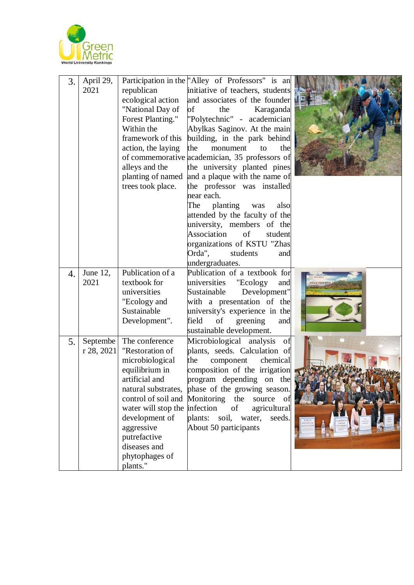

| 3. | April 29,<br>2021          | republican<br>ecological action<br>"National Day of<br>Forest Planting."<br>Within the<br>framework of this<br>action, the laying<br>alleys and the<br>planting of named<br>trees took place.                                                                 | Participation in the "Alley of Professors" is an<br>initiative of teachers, students<br>and associates of the founder<br>of<br>Karaganda<br>the<br>"Polytechnic" - academician<br>Abylkas Saginov. At the main<br>building, in the park behind<br>the<br>monument<br>the<br>to<br>of commemorative academician, 35 professors of<br>the university planted pines<br>and a plaque with the name of<br>the professor was installed<br>near each.<br>planting<br>The<br>also<br>was<br>attended by the faculty of the<br>university, members of the |          |
|----|----------------------------|---------------------------------------------------------------------------------------------------------------------------------------------------------------------------------------------------------------------------------------------------------------|--------------------------------------------------------------------------------------------------------------------------------------------------------------------------------------------------------------------------------------------------------------------------------------------------------------------------------------------------------------------------------------------------------------------------------------------------------------------------------------------------------------------------------------------------|----------|
|    |                            |                                                                                                                                                                                                                                                               | Association<br>of<br>student<br>organizations of KSTU "Zhas<br>Orda",<br>students<br>and                                                                                                                                                                                                                                                                                                                                                                                                                                                         |          |
|    |                            |                                                                                                                                                                                                                                                               | undergraduates.                                                                                                                                                                                                                                                                                                                                                                                                                                                                                                                                  |          |
| 4. | June 12,<br>2021           | Publication of a<br>textbook for<br>universities<br>"Ecology and<br>Sustainable<br>Development".                                                                                                                                                              | Publication of a textbook for<br>universities<br>"Ecology<br>and<br>Sustainable<br>Development"<br>with a presentation of the<br>university's experience in the<br>field<br>of<br>greening<br>and<br>sustainable development.                                                                                                                                                                                                                                                                                                                    | кологияд |
| 5. | Septembe<br>r 28, 2021 $ $ | The conference<br>"Restoration of<br>microbiological<br>equilibrium in<br>artificial and<br>control of soil and Monitoring the<br>water will stop the infection<br>development of<br>aggressive<br>putrefactive<br>diseases and<br>phytophages of<br>plants." | Microbiological analysis<br>of<br>plants, seeds. Calculation of<br>the<br>chemical<br>component<br>composition of the irrigation<br>program depending on the<br>natural substrates, phase of the growing season.<br>source<br>of<br>agricultural<br>of<br>plants: soil, water,<br>seeds.<br>About 50 participants                                                                                                                                                                                                                                |          |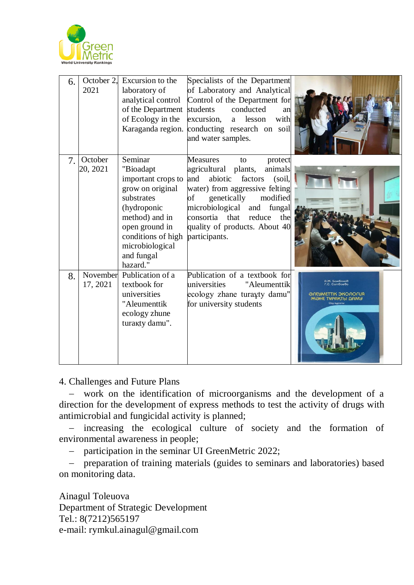

| 6. | October 2.<br>2021   | Excursion to the<br>laboratory of<br>analytical control<br>of the Department<br>of Ecology in the<br>Karaganda region.                                                                             | Specialists of the Department<br>of Laboratory and Analytical<br>Control of the Department for<br>conducted<br>students<br>an<br>excursion,<br>with<br>lesson<br>a -<br>conducting research on soil<br>and water samples.                                                                        |                                                                                            |
|----|----------------------|----------------------------------------------------------------------------------------------------------------------------------------------------------------------------------------------------|--------------------------------------------------------------------------------------------------------------------------------------------------------------------------------------------------------------------------------------------------------------------------------------------------|--------------------------------------------------------------------------------------------|
| 7. | October<br>20, 2021  | Seminar<br>"Bioadapt<br>important crops to<br>grow on original<br>substrates<br>(hydroponic<br>method) and in<br>open ground in<br>conditions of high<br>microbiological<br>and fungal<br>hazard." | <b>Measures</b><br>protect<br>to<br>agricultural plants,<br>animals<br>and<br>abiotic<br>factors<br>(soil,<br>water) from aggressive felting<br>genetically<br>modified<br>оf<br>microbiological and fungal<br>consortia that<br>reduce<br>the<br>quality of products. About 40<br>participants. |                                                                                            |
| 8. | November<br>17, 2021 | Publication of a<br>textbook for<br>universities<br>"Aleumenttik<br>ecology zhune<br>turakty damu".                                                                                                | Publication of a textbook for<br>universities<br>"Aleumenttik<br>ecology zhane turayty damu"<br>for university students                                                                                                                                                                          | А.Ж. Божбанов<br>Г.С. Сатбаева<br>ӘЛЕЯМЕТТІК ЭКОЛОГИЯ<br>TYPAKTЫ ДАМУ<br><b>DKY KUDONU</b> |

4. Challenges and Future Plans

− work on the identification of microorganisms and the development of a direction for the development of express methods to test the activity of drugs with antimicrobial and fungicidal activity is planned;

− increasing the ecological culture of society and the formation of environmental awareness in people;

− participation in the seminar UI GreenMetric 2022;

− preparation of training materials (guides to seminars and laboratories) based on monitoring data.

Ainagul Toleuova Department of Strategic Development Tel.: 8(7212)565197 e-mail: rymkul.ainagul@gmail.com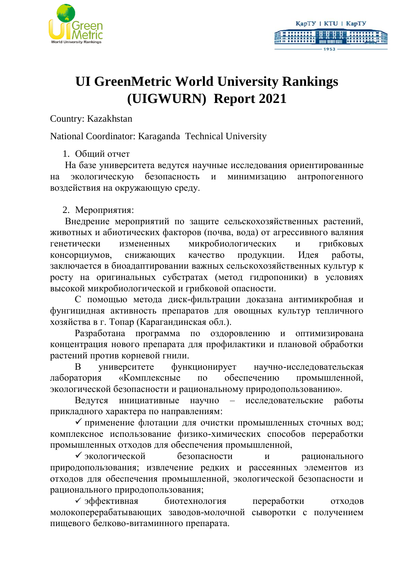



# **UI GreenMetric World University Rankings (UIGWURN) Report 2021**

Country: Kazakhstan

National Coordinator: Karaganda Technical University

1. Общий отчет

На базе университета ведутся научные исследования ориентированные на экологическую безопасность и минимизацию антропогенного воздействия на окружающую среду.

2. Мероприятия:

Внедрение мероприятий по защите сельскохозяйственных растений, животных и абиотических факторов (почва, вода) от агрессивного валяния генетически измененных микробиологических и грибковых консорциумов, снижающих качество продукции. Идея работы, заключается в биоадаптировании важных сельскохозяйственных культур к росту на оригинальных субстратах (метод гидропоники) в условиях высокой микробиологической и грибковой опасности.

С помощью метода диск-фильтрации доказана антимикробная и фунгицидная активность препаратов для овощных культур тепличного хозяйства в г. Топар (Карагандинская обл.).

Разработана программа по оздоровлению и оптимизирована концентрация нового препарата для профилактики и плановой обработки растений против корневой гнили.

В университете функционирует научно-исследовательская лаборатория «Комплексные по обеспечению промышленной, экологической безопасности и рациональному природопользованию».

Ведутся инициативные научно – исследовательские работы прикладного характера по направлениям:

✓ применение флотации для очистки промышленных сточных вод; комплексное использование физико-химических способов переработки промышленных отходов для обеспечения промышленной,

✓ экологической безопасности и рационального природопользования; извлечение редких и рассеянных элементов из отходов для обеспечения промышленной, экологической безопасности и рационального природопользования;

✓ эффективная биотехнология переработки отходов молокоперерабатывающих заводов-молочной сыворотки с получением пищевого белково-витаминного препарата.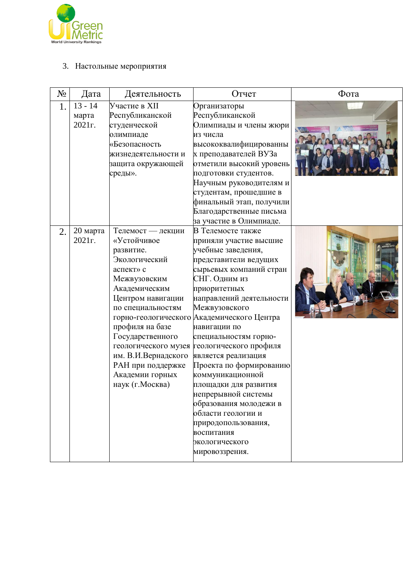

### 3. Настольные мероприятия

| $N_2$ | Дата                         | Деятельность                                                                                                                                                                                                                                                                     | Отчет                                                                                                                                                                                                                                                                                                                                                                                                                                                                                                                                                                                                               | Фота |
|-------|------------------------------|----------------------------------------------------------------------------------------------------------------------------------------------------------------------------------------------------------------------------------------------------------------------------------|---------------------------------------------------------------------------------------------------------------------------------------------------------------------------------------------------------------------------------------------------------------------------------------------------------------------------------------------------------------------------------------------------------------------------------------------------------------------------------------------------------------------------------------------------------------------------------------------------------------------|------|
| 1.    | $13 - 14$<br>марта<br>2021г. | Участие в XII<br>Республиканской<br>студенческой<br>олимпиаде<br>«Безопасность<br>жизнедеятельности и<br>защита окружающей<br>среды».                                                                                                                                            | Организаторы<br>Республиканской<br>Олимпиады и члены жюри<br>из числа<br>высококвалифицированны<br>х преподавателей ВУЗа<br>отметили высокий уровень<br>подготовки студентов.<br>Научным руководителям и<br>студентам, прошедшие в<br>финальный этап, получили<br>Благодарственные письма                                                                                                                                                                                                                                                                                                                           |      |
| 2.    | 20 марта<br>2021г.           | Телемост — лекции<br>«Устойчивое<br>развитие.<br>Экологический<br>аспект» с<br>Межвузовским<br>Академическим<br>Центром навигации<br>по специальностям<br>профиля на базе<br>Государственного<br>им. В.И.Вернадского<br>РАН при поддержке<br>Академии горных<br>наук (г. Москва) | за участие в Олимпиаде.<br>В Телемосте также<br>приняли участие высшие<br>учебные заведения,<br>представители ведущих<br>сырьевых компаний стран<br>СНГ. Одним из<br>приоритетных<br>направлений деятельности<br>Межвузовского<br>горно-геологического Академического Центра<br>навигации по<br>специальностям горно-<br>геологического музея геологического профиля<br>является реализация<br>Проекта по формированию<br>коммуникационной<br>площадки для развития<br>непрерывной системы<br>образования молодежи в<br>области геологии и<br>природопользования,<br>воспитания<br>экологического<br>мировоззрения. |      |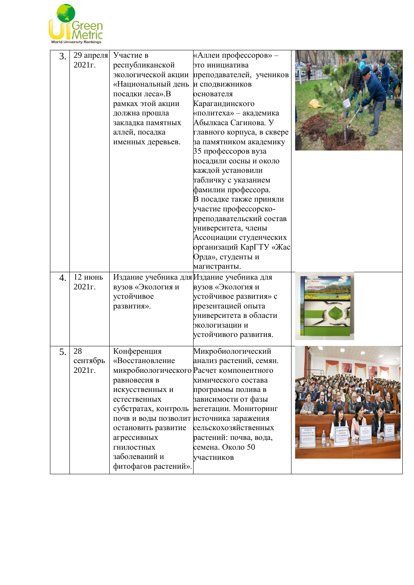

| 3. | 29 апреля<br>2021r.      | Участие в<br>республиканской<br>экологической акции<br>«Национальный день и сподвижников<br>посадки леса».В<br>рамках этой акции<br>должна прошла<br>закладка памятных<br>аллей, посадка<br>именных деревьев.                     | «Аллеи профессоров» -<br>это инициатива<br>преподавателей, учеников<br>основателя<br>Карагандинского<br>«политеха» - академика<br>Абылкаса Сагинова. У<br>главного корпуса, в сквере<br>за памятником академику<br>35 профессоров вуза<br>посадили сосны и около<br>каждой установили<br>табличку с указанием<br>фамилии профессора.<br>В посадке также приняли<br>участие профессорско-<br>преподавательский состав<br>университета, члены<br>Ассоциации студенческих<br>организаций КарГТУ «Жас<br>Орда», студенты и<br>магистранты. |                 |
|----|--------------------------|-----------------------------------------------------------------------------------------------------------------------------------------------------------------------------------------------------------------------------------|----------------------------------------------------------------------------------------------------------------------------------------------------------------------------------------------------------------------------------------------------------------------------------------------------------------------------------------------------------------------------------------------------------------------------------------------------------------------------------------------------------------------------------------|-----------------|
| 4. | 12 июнь<br>2021г.        | Издание учебника для Издание учебника для<br>вузов «Экология и<br>устойчивое<br>развития».                                                                                                                                        | вузов «Экология и<br>устойчивое развития» с<br>презентацией опыта<br>университета в области<br>экологизации и<br>устойчивого развития.                                                                                                                                                                                                                                                                                                                                                                                                 | <b>экология</b> |
| 5. | 28<br>сентябрь<br>2021r. | Конференция<br>«Восстановление<br>равновесия в<br>искусственных и<br>естественных<br>почв и воды позволит источника заражения<br>остановить развитие<br>агрессивных<br><b>ГНИЛОСТНЫХ</b><br>заболеваний и<br>фитофагов растений». | Микробиологический<br>анализ растений, семян.<br>микробиологического Расчет компонентного<br>химического состава<br>программы полива в<br>зависимости от фазы<br>субстратах, контроль вегетации. Мониторинг<br>сельскохозяйственных<br>растений: почва, вода,<br>семена. Около 50<br>участников                                                                                                                                                                                                                                        |                 |